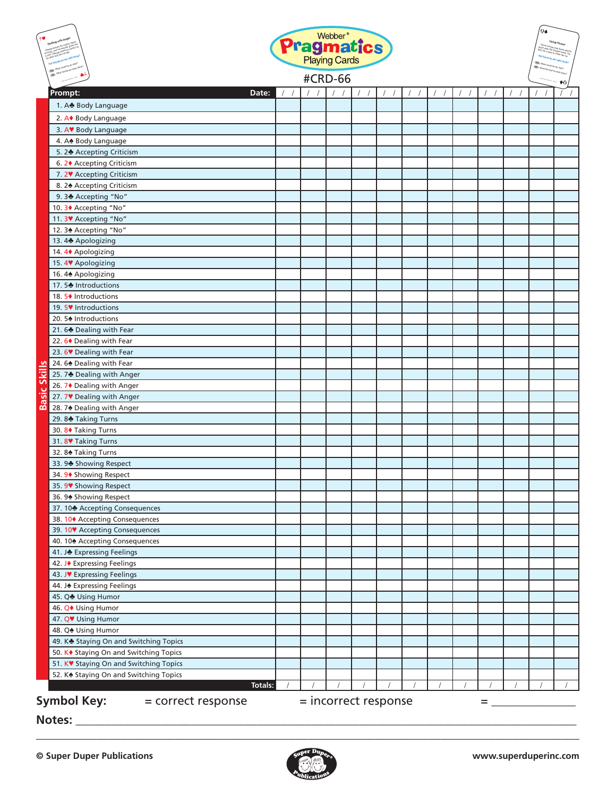| <b>Pragmatics</b><br><b>#CRD-66</b> |                                                    |  |  |                        |  |  |            |  | Q≰ |  |  |    |
|-------------------------------------|----------------------------------------------------|--|--|------------------------|--|--|------------|--|----|--|--|----|
|                                     |                                                    |  |  |                        |  |  |            |  |    |  |  | ۴Ò |
|                                     | Prompt:<br>Date:                                   |  |  |                        |  |  | $\sqrt{2}$ |  |    |  |  |    |
|                                     | 1. A Body Language                                 |  |  |                        |  |  |            |  |    |  |  |    |
|                                     | 2. A◆ Body Language                                |  |  |                        |  |  |            |  |    |  |  |    |
|                                     | 3. AV Body Language                                |  |  |                        |  |  |            |  |    |  |  |    |
|                                     | 4. A Body Language                                 |  |  |                        |  |  |            |  |    |  |  |    |
|                                     | 5. 2 Accepting Criticism                           |  |  |                        |  |  |            |  |    |  |  |    |
|                                     | 6. 2♦ Accepting Criticism                          |  |  |                        |  |  |            |  |    |  |  |    |
|                                     | 7. 2 <sup>V</sup> Accepting Criticism              |  |  |                        |  |  |            |  |    |  |  |    |
|                                     | 8. 24 Accepting Criticism                          |  |  |                        |  |  |            |  |    |  |  |    |
|                                     | 9.3 Accepting "No"                                 |  |  |                        |  |  |            |  |    |  |  |    |
|                                     | 10. 3◆ Accepting "No"                              |  |  |                        |  |  |            |  |    |  |  |    |
|                                     | 11.3 <sup>V</sup> Accepting "No"                   |  |  |                        |  |  |            |  |    |  |  |    |
|                                     | 12. 3 <sup>★</sup> Accepting "No"                  |  |  |                        |  |  |            |  |    |  |  |    |
|                                     | 13.4 Apologizing                                   |  |  |                        |  |  |            |  |    |  |  |    |
|                                     | 14. 4♦ Apologizing                                 |  |  |                        |  |  |            |  |    |  |  |    |
|                                     | 15.4 YApologizing                                  |  |  |                        |  |  |            |  |    |  |  |    |
|                                     | 16.4 <sup>*</sup> Apologizing                      |  |  |                        |  |  |            |  |    |  |  |    |
|                                     | 17.5₺ Introductions                                |  |  |                        |  |  |            |  |    |  |  |    |
|                                     | 18. 5♦ Introductions                               |  |  |                        |  |  |            |  |    |  |  |    |
|                                     | 19. 5♥ Introductions                               |  |  |                        |  |  |            |  |    |  |  |    |
|                                     | 20. 5♠ Introductions                               |  |  |                        |  |  |            |  |    |  |  |    |
|                                     | 21.6₺ Dealing with Fear                            |  |  |                        |  |  |            |  |    |  |  |    |
|                                     | 22.6◆ Dealing with Fear                            |  |  |                        |  |  |            |  |    |  |  |    |
|                                     | 23. 6 <sup>V</sup> Dealing with Fear               |  |  |                        |  |  |            |  |    |  |  |    |
|                                     | 24. 6 <sup>*</sup> Dealing with Fear               |  |  |                        |  |  |            |  |    |  |  |    |
| <b>Basic Skills</b>                 | 25.7₺ Dealing with Anger                           |  |  |                        |  |  |            |  |    |  |  |    |
|                                     | 26. 7◆ Dealing with Anger                          |  |  |                        |  |  |            |  |    |  |  |    |
|                                     | 27.7 V Dealing with Anger                          |  |  |                        |  |  |            |  |    |  |  |    |
|                                     | 28.74 Dealing with Anger                           |  |  |                        |  |  |            |  |    |  |  |    |
|                                     | 29.8 <sup>₺</sup> Taking Turns                     |  |  |                        |  |  |            |  |    |  |  |    |
|                                     | 30. 8♦ Taking Turns                                |  |  |                        |  |  |            |  |    |  |  |    |
|                                     | 31.8 <sup>V</sup> Taking Turns                     |  |  |                        |  |  |            |  |    |  |  |    |
|                                     | 32.8 <sup>h</sup> Taking Turns                     |  |  |                        |  |  |            |  |    |  |  |    |
|                                     | 33.9 <sup>h</sup> Showing Respect                  |  |  |                        |  |  |            |  |    |  |  |    |
|                                     | 34. 9◆ Showing Respect                             |  |  |                        |  |  |            |  |    |  |  |    |
|                                     | 35. 9 <sup>9</sup> Showing Respect                 |  |  |                        |  |  |            |  |    |  |  |    |
|                                     | 36.94 Showing Respect                              |  |  |                        |  |  |            |  |    |  |  |    |
|                                     | 37. 10 Accepting Consequences                      |  |  |                        |  |  |            |  |    |  |  |    |
|                                     | 38. 10◆ Accepting Consequences                     |  |  |                        |  |  |            |  |    |  |  |    |
|                                     | 39. 10 <sup>V</sup> Accepting Consequences         |  |  |                        |  |  |            |  |    |  |  |    |
|                                     | 40. 10 <sup>+</sup> Accepting Consequences         |  |  |                        |  |  |            |  |    |  |  |    |
|                                     | 41. J Expressing Feelings                          |  |  |                        |  |  |            |  |    |  |  |    |
|                                     | 42. J◆ Expressing Feelings                         |  |  |                        |  |  |            |  |    |  |  |    |
|                                     | 43. J♥ Expressing Feelings                         |  |  |                        |  |  |            |  |    |  |  |    |
|                                     | 44. J. Expressing Feelings                         |  |  |                        |  |  |            |  |    |  |  |    |
|                                     | 45. Q Using Humor                                  |  |  |                        |  |  |            |  |    |  |  |    |
|                                     | 46. Q♦ Using Humor                                 |  |  |                        |  |  |            |  |    |  |  |    |
|                                     | 47. QV Using Humor                                 |  |  |                        |  |  |            |  |    |  |  |    |
|                                     | 48. Q <sup>*</sup> Using Humor                     |  |  |                        |  |  |            |  |    |  |  |    |
|                                     | 49. K Staying On and Switching Topics              |  |  |                        |  |  |            |  |    |  |  |    |
|                                     | 50. K◆ Staying On and Switching Topics             |  |  |                        |  |  |            |  |    |  |  |    |
|                                     | 51. KV Staying On and Switching Topics             |  |  |                        |  |  |            |  |    |  |  |    |
|                                     | 52. K <sup>*</sup> Staying On and Switching Topics |  |  |                        |  |  |            |  |    |  |  |    |
|                                     | Totals:                                            |  |  |                        |  |  |            |  |    |  |  |    |
|                                     | <b>Symbol Key:</b><br>= correct response           |  |  | $=$ incorrect response |  |  |            |  | =  |  |  |    |

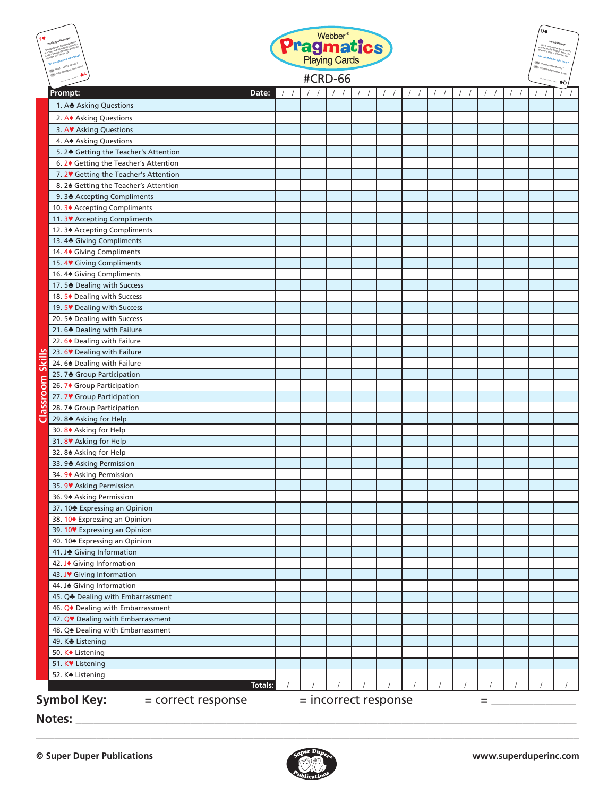|                  |                                               | <b>Pragmatics</b><br><b>#CRD-66</b> |                      |                  |          |  |  |  | Q≰ |  |  |  |
|------------------|-----------------------------------------------|-------------------------------------|----------------------|------------------|----------|--|--|--|----|--|--|--|
|                  |                                               |                                     |                      |                  |          |  |  |  |    |  |  |  |
|                  | Prompt:<br>Date:                              |                                     | $\left  \right $     | $\left  \right $ | $\prime$ |  |  |  |    |  |  |  |
|                  | 1. A Asking Questions                         |                                     |                      |                  |          |  |  |  |    |  |  |  |
|                  | 2. A◆ Asking Questions                        |                                     |                      |                  |          |  |  |  |    |  |  |  |
|                  | 3. AV Asking Questions                        |                                     |                      |                  |          |  |  |  |    |  |  |  |
|                  | 4. A. Asking Questions                        |                                     |                      |                  |          |  |  |  |    |  |  |  |
|                  | 5. 2 Getting the Teacher's Attention          |                                     |                      |                  |          |  |  |  |    |  |  |  |
|                  | 6. 2♦ Getting the Teacher's Attention         |                                     |                      |                  |          |  |  |  |    |  |  |  |
|                  | 7. 2V Getting the Teacher's Attention         |                                     |                      |                  |          |  |  |  |    |  |  |  |
|                  | 8. 24 Getting the Teacher's Attention         |                                     |                      |                  |          |  |  |  |    |  |  |  |
|                  | 9.34 Accepting Compliments                    |                                     |                      |                  |          |  |  |  |    |  |  |  |
|                  | 10. 3♦ Accepting Compliments                  |                                     |                      |                  |          |  |  |  |    |  |  |  |
|                  | 11. 3V Accepting Compliments                  |                                     |                      |                  |          |  |  |  |    |  |  |  |
|                  | 12. 34 Accepting Compliments                  |                                     |                      |                  |          |  |  |  |    |  |  |  |
|                  | 13.4 Giving Compliments                       |                                     |                      |                  |          |  |  |  |    |  |  |  |
|                  | 14. 4 <sup>+</sup> Giving Compliments         |                                     |                      |                  |          |  |  |  |    |  |  |  |
|                  | 15.4 Giving Compliments                       |                                     |                      |                  |          |  |  |  |    |  |  |  |
|                  | 16.4 <sup>*</sup> Giving Compliments          |                                     |                      |                  |          |  |  |  |    |  |  |  |
|                  | 17.5 Dealing with Success                     |                                     |                      |                  |          |  |  |  |    |  |  |  |
|                  | 18. 5♦ Dealing with Success                   |                                     |                      |                  |          |  |  |  |    |  |  |  |
|                  | 19. 5 <sup>V</sup> Dealing with Success       |                                     |                      |                  |          |  |  |  |    |  |  |  |
|                  | 20. 5 <sup>*</sup> Dealing with Success       |                                     |                      |                  |          |  |  |  |    |  |  |  |
|                  | 21.6 Dealing with Failure                     |                                     |                      |                  |          |  |  |  |    |  |  |  |
|                  | 22. 6♦ Dealing with Failure                   |                                     |                      |                  |          |  |  |  |    |  |  |  |
|                  | 23. 6 <sup>V</sup> Dealing with Failure       |                                     |                      |                  |          |  |  |  |    |  |  |  |
|                  | 24.6 Dealing with Failure                     |                                     |                      |                  |          |  |  |  |    |  |  |  |
|                  | 25.7 Group Participation                      |                                     |                      |                  |          |  |  |  |    |  |  |  |
|                  | 26. 7◆ Group Participation                    |                                     |                      |                  |          |  |  |  |    |  |  |  |
|                  | 27.7 V Group Participation                    |                                     |                      |                  |          |  |  |  |    |  |  |  |
|                  | 28. 74 Group Participation                    |                                     |                      |                  |          |  |  |  |    |  |  |  |
| Classroom Skills | 29.8 Asking for Help                          |                                     |                      |                  |          |  |  |  |    |  |  |  |
|                  | 30. 8◆ Asking for Help                        |                                     |                      |                  |          |  |  |  |    |  |  |  |
|                  | 31.8 Asking for Help                          |                                     |                      |                  |          |  |  |  |    |  |  |  |
|                  | 32.8 <sup>*</sup> Asking for Help             |                                     |                      |                  |          |  |  |  |    |  |  |  |
|                  | 33.9 Asking Permission                        |                                     |                      |                  |          |  |  |  |    |  |  |  |
|                  | 34. 9 <sup>+</sup> Asking Permission          |                                     |                      |                  |          |  |  |  |    |  |  |  |
|                  | 35. 9V Asking Permission                      |                                     |                      |                  |          |  |  |  |    |  |  |  |
|                  | 36. 9 <sup>h</sup> Asking Permission          |                                     |                      |                  |          |  |  |  |    |  |  |  |
|                  | 37. 10 <sup>+</sup> Expressing an Opinion     |                                     |                      |                  |          |  |  |  |    |  |  |  |
|                  | 38. 10◆ Expressing an Opinion                 |                                     |                      |                  |          |  |  |  |    |  |  |  |
|                  | 39. 10 <sup>₩</sup> Expressing an Opinion     |                                     |                      |                  |          |  |  |  |    |  |  |  |
|                  | 40. 10 <sup>+</sup> Expressing an Opinion     |                                     |                      |                  |          |  |  |  |    |  |  |  |
|                  | 41. J Giving Information                      |                                     |                      |                  |          |  |  |  |    |  |  |  |
|                  | 42. J◆ Giving Information                     |                                     |                      |                  |          |  |  |  |    |  |  |  |
|                  | 43. JV Giving Information                     |                                     |                      |                  |          |  |  |  |    |  |  |  |
|                  | 44. J. Giving Information                     |                                     |                      |                  |          |  |  |  |    |  |  |  |
|                  | 45. Q Dealing with Embarrassment              |                                     |                      |                  |          |  |  |  |    |  |  |  |
|                  | 46. Q <sup>+</sup> Dealing with Embarrassment |                                     |                      |                  |          |  |  |  |    |  |  |  |
|                  | 47. QV Dealing with Embarrassment             |                                     |                      |                  |          |  |  |  |    |  |  |  |
|                  | 48. Q <sup>*</sup> Dealing with Embarrassment |                                     |                      |                  |          |  |  |  |    |  |  |  |
|                  | 49. K <sup>®</sup> Listening                  |                                     |                      |                  |          |  |  |  |    |  |  |  |
|                  | 50. K◆ Listening                              |                                     |                      |                  |          |  |  |  |    |  |  |  |
|                  | 51. K♥ Listening                              |                                     |                      |                  |          |  |  |  |    |  |  |  |
|                  | 52. K <sup>®</sup> Listening                  |                                     |                      |                  |          |  |  |  |    |  |  |  |
|                  | Totals:                                       |                                     |                      |                  |          |  |  |  |    |  |  |  |
|                  | <b>Symbol Key:</b><br>= correct response      |                                     | = incorrect response |                  |          |  |  |  | =  |  |  |  |

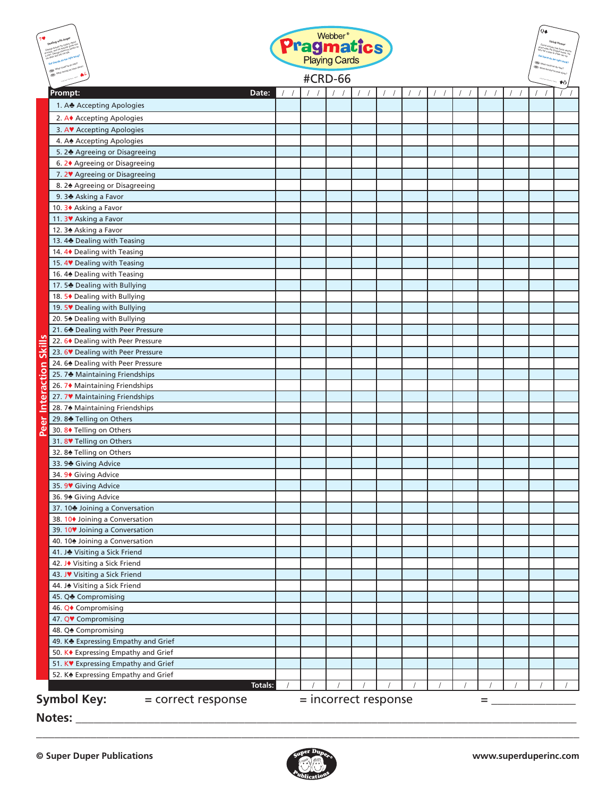| <b>Pragmatics</b><br>#CRD-66 |                                                                         |          |  |  |  |  | Q≰ |  |  |  |  |  |  |
|------------------------------|-------------------------------------------------------------------------|----------|--|--|--|--|----|--|--|--|--|--|--|
|                              |                                                                         |          |  |  |  |  |    |  |  |  |  |  |  |
| Prompt:                      | Date:                                                                   |          |  |  |  |  |    |  |  |  |  |  |  |
|                              | 1. A Accepting Apologies                                                |          |  |  |  |  |    |  |  |  |  |  |  |
|                              | 2. A◆ Accepting Apologies                                               |          |  |  |  |  |    |  |  |  |  |  |  |
|                              | 3. AV Accepting Apologies                                               |          |  |  |  |  |    |  |  |  |  |  |  |
|                              | 4. A $\triangle$ Accepting Apologies                                    |          |  |  |  |  |    |  |  |  |  |  |  |
|                              | 5. 2 Agreeing or Disagreeing                                            |          |  |  |  |  |    |  |  |  |  |  |  |
|                              | 6. 2♦ Agreeing or Disagreeing                                           |          |  |  |  |  |    |  |  |  |  |  |  |
|                              | 7. 2 <sup>V</sup> Agreeing or Disagreeing                               |          |  |  |  |  |    |  |  |  |  |  |  |
|                              | 8. 24 Agreeing or Disagreeing                                           |          |  |  |  |  |    |  |  |  |  |  |  |
|                              | 9. 3 Asking a Favor                                                     |          |  |  |  |  |    |  |  |  |  |  |  |
|                              | 10. 3◆ Asking a Favor                                                   |          |  |  |  |  |    |  |  |  |  |  |  |
|                              | 11. 3 <sup>V</sup> Asking a Favor                                       |          |  |  |  |  |    |  |  |  |  |  |  |
|                              | 12. 3 <sup>*</sup> Asking a Favor                                       |          |  |  |  |  |    |  |  |  |  |  |  |
|                              | 13.4 Dealing with Teasing                                               |          |  |  |  |  |    |  |  |  |  |  |  |
|                              | 14. 4 <sup>+</sup> Dealing with Teasing                                 |          |  |  |  |  |    |  |  |  |  |  |  |
|                              | 15. 4V Dealing with Teasing                                             |          |  |  |  |  |    |  |  |  |  |  |  |
|                              | 16.4 <sup>*</sup> Dealing with Teasing                                  |          |  |  |  |  |    |  |  |  |  |  |  |
|                              | 17.5 Dealing with Bullying<br>18. 5◆ Dealing with Bullying              |          |  |  |  |  |    |  |  |  |  |  |  |
|                              | 19. 5 <sup>V</sup> Dealing with Bullying                                |          |  |  |  |  |    |  |  |  |  |  |  |
|                              | 20. 54 Dealing with Bullying                                            |          |  |  |  |  |    |  |  |  |  |  |  |
|                              | 21. 6 Dealing with Peer Pressure                                        |          |  |  |  |  |    |  |  |  |  |  |  |
|                              | 22. 6♦ Dealing with Peer Pressure                                       |          |  |  |  |  |    |  |  |  |  |  |  |
| <b>Skill</b>                 | 23.6 Dealing with Peer Pressure                                         |          |  |  |  |  |    |  |  |  |  |  |  |
|                              | 24.64 Dealing with Peer Pressure                                        |          |  |  |  |  |    |  |  |  |  |  |  |
| ction                        | 25. 7 Maintaining Friendships                                           |          |  |  |  |  |    |  |  |  |  |  |  |
|                              | 26. 7♦ Maintaining Friendships                                          |          |  |  |  |  |    |  |  |  |  |  |  |
|                              | 27.7 Maintaining Friendships                                            |          |  |  |  |  |    |  |  |  |  |  |  |
| er<br>Intera                 | 28. 7 <sup>4</sup> Maintaining Friendships                              |          |  |  |  |  |    |  |  |  |  |  |  |
|                              | 29.8₺ Telling on Others                                                 |          |  |  |  |  |    |  |  |  |  |  |  |
| <b>Pe</b>                    | 30.8◆ Telling on Others                                                 |          |  |  |  |  |    |  |  |  |  |  |  |
|                              | 31.8 <sup>V</sup> Telling on Others                                     |          |  |  |  |  |    |  |  |  |  |  |  |
|                              | 32.8 <sup>+</sup> Telling on Others                                     |          |  |  |  |  |    |  |  |  |  |  |  |
|                              | 33.9 Giving Advice                                                      |          |  |  |  |  |    |  |  |  |  |  |  |
|                              | 34. 9◆ Giving Advice                                                    |          |  |  |  |  |    |  |  |  |  |  |  |
|                              | 35. 9 Giving Advice                                                     |          |  |  |  |  |    |  |  |  |  |  |  |
|                              | 36.94 Giving Advice                                                     |          |  |  |  |  |    |  |  |  |  |  |  |
|                              | 37. 10 Joining a Conversation                                           |          |  |  |  |  |    |  |  |  |  |  |  |
|                              | 38. 10♦ Joining a Conversation                                          |          |  |  |  |  |    |  |  |  |  |  |  |
|                              | 39. 10 <sup>V</sup> Joining a Conversation                              |          |  |  |  |  |    |  |  |  |  |  |  |
|                              | 40. 10 <sup>+</sup> Joining a Conversation                              |          |  |  |  |  |    |  |  |  |  |  |  |
|                              | 41. J Visiting a Sick Friend                                            |          |  |  |  |  |    |  |  |  |  |  |  |
|                              | 42. J◆ Visiting a Sick Friend                                           |          |  |  |  |  |    |  |  |  |  |  |  |
|                              | 43. JV Visiting a Sick Friend                                           |          |  |  |  |  |    |  |  |  |  |  |  |
|                              | 44. J. Visiting a Sick Friend                                           |          |  |  |  |  |    |  |  |  |  |  |  |
|                              | 45. Q♣ Compromising                                                     |          |  |  |  |  |    |  |  |  |  |  |  |
|                              | 46. Q◆ Compromising                                                     |          |  |  |  |  |    |  |  |  |  |  |  |
|                              | 47. QV Compromising                                                     |          |  |  |  |  |    |  |  |  |  |  |  |
|                              | 48. Q <sup>*</sup> Compromising                                         |          |  |  |  |  |    |  |  |  |  |  |  |
|                              | 49. KS Expressing Empathy and Grief                                     |          |  |  |  |  |    |  |  |  |  |  |  |
|                              | 50. K◆ Expressing Empathy and Grief                                     |          |  |  |  |  |    |  |  |  |  |  |  |
|                              | 51. KV Expressing Empathy and Grief                                     |          |  |  |  |  |    |  |  |  |  |  |  |
|                              | 52. K <sup>*</sup> Expressing Empathy and Grief<br>Totals:              | $\prime$ |  |  |  |  |    |  |  |  |  |  |  |
|                              |                                                                         |          |  |  |  |  |    |  |  |  |  |  |  |
| Notes:                       | <b>Symbol Key:</b><br>$=$ incorrect response<br>= correct response<br>= |          |  |  |  |  |    |  |  |  |  |  |  |



\_\_\_\_\_\_\_\_\_\_\_\_\_\_\_\_\_\_\_\_\_\_\_\_\_\_\_\_\_\_\_\_\_\_\_\_\_\_\_\_\_\_\_\_\_\_\_\_\_\_\_\_\_\_\_\_\_\_\_\_\_\_\_\_\_\_\_\_\_\_\_\_\_\_\_\_\_\_\_\_\_\_\_\_\_\_\_\_\_\_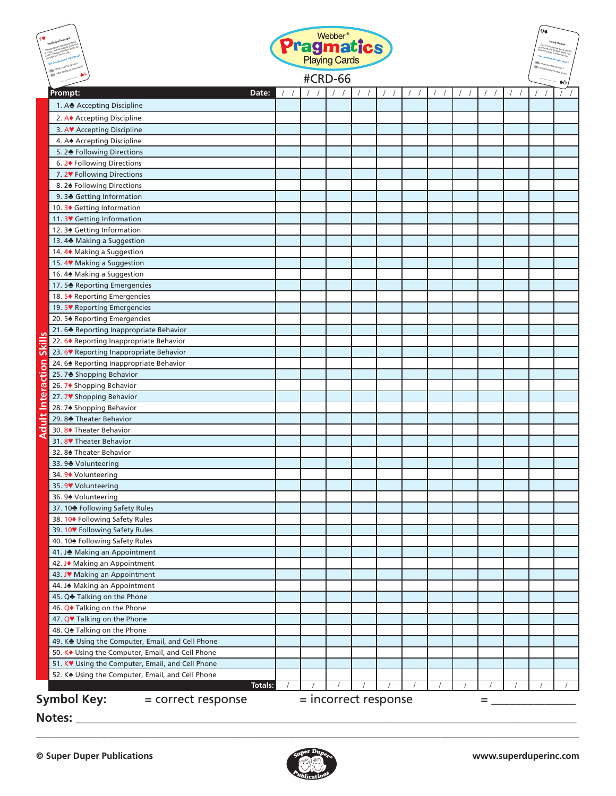|                     | <b>Pragmatics</b>                                               |  |  |                      |  |  | $Q\clubsuit$ |   |  |  |    |
|---------------------|-----------------------------------------------------------------|--|--|----------------------|--|--|--------------|---|--|--|----|
|                     |                                                                 |  |  | <b>#CRD-66</b>       |  |  |              |   |  |  | ዎስ |
|                     | Prompt:<br>Date:                                                |  |  |                      |  |  |              |   |  |  |    |
|                     | 1. A Accepting Discipline                                       |  |  |                      |  |  |              |   |  |  |    |
|                     | 2. A◆ Accepting Discipline                                      |  |  |                      |  |  |              |   |  |  |    |
|                     | 3. AV Accepting Discipline                                      |  |  |                      |  |  |              |   |  |  |    |
|                     | 4. A Accepting Discipline                                       |  |  |                      |  |  |              |   |  |  |    |
|                     | 5. 2 Following Directions                                       |  |  |                      |  |  |              |   |  |  |    |
|                     | 6. 2 <sup>+</sup> Following Directions                          |  |  |                      |  |  |              |   |  |  |    |
|                     | 7. 2 <sup>V</sup> Following Directions                          |  |  |                      |  |  |              |   |  |  |    |
|                     | 8. 24 Following Directions                                      |  |  |                      |  |  |              |   |  |  |    |
|                     | 9.3 Getting Information                                         |  |  |                      |  |  |              |   |  |  |    |
|                     | 10. 3♦ Getting Information                                      |  |  |                      |  |  |              |   |  |  |    |
|                     | 11. 3V Getting Information<br>12. 34 Getting Information        |  |  |                      |  |  |              |   |  |  |    |
|                     | 13.4 Making a Suggestion                                        |  |  |                      |  |  |              |   |  |  |    |
|                     | 14. 4◆ Making a Suggestion                                      |  |  |                      |  |  |              |   |  |  |    |
|                     | 15. 4 <sup>V</sup> Making a Suggestion                          |  |  |                      |  |  |              |   |  |  |    |
|                     | 16.4 <sup>*</sup> Making a Suggestion                           |  |  |                      |  |  |              |   |  |  |    |
|                     | 17.5 Reporting Emergencies                                      |  |  |                      |  |  |              |   |  |  |    |
|                     | 18. 5♦ Reporting Emergencies                                    |  |  |                      |  |  |              |   |  |  |    |
|                     | 19. 5 <sup>V</sup> Reporting Emergencies                        |  |  |                      |  |  |              |   |  |  |    |
|                     | 20. 5 <sup>*</sup> Reporting Emergencies                        |  |  |                      |  |  |              |   |  |  |    |
| <b>v</b>            | 21.6◆ Reporting Inappropriate Behavior                          |  |  |                      |  |  |              |   |  |  |    |
|                     | 22. 6◆ Reporting Inappropriate Behavior                         |  |  |                      |  |  |              |   |  |  |    |
| Skill               | 23. 6 <sup>V</sup> Reporting Inappropriate Behavior             |  |  |                      |  |  |              |   |  |  |    |
| ā                   | 24.6 <sup>+</sup> Reporting Inappropriate Behavior              |  |  |                      |  |  |              |   |  |  |    |
| ŧ                   | 25.7 Shopping Behavior                                          |  |  |                      |  |  |              |   |  |  |    |
|                     | 26. 7◆ Shopping Behavior                                        |  |  |                      |  |  |              |   |  |  |    |
|                     | 27.7♥ Shopping Behavior                                         |  |  |                      |  |  |              |   |  |  |    |
| <b>Adult Intera</b> | 28. 7 <sup>★</sup> Shopping Behavior                            |  |  |                      |  |  |              |   |  |  |    |
|                     | 29.8₺ Theater Behavior                                          |  |  |                      |  |  |              |   |  |  |    |
|                     | 30. 8◆ Theater Behavior                                         |  |  |                      |  |  |              |   |  |  |    |
|                     | 31.8 <sup>*</sup> Theater Behavior                              |  |  |                      |  |  |              |   |  |  |    |
|                     | 32.8 <sup>★</sup> Theater Behavior                              |  |  |                      |  |  |              |   |  |  |    |
|                     | 33.9 <sup>*</sup> Volunteering                                  |  |  |                      |  |  |              |   |  |  |    |
|                     | 34. 9♦ Volunteering                                             |  |  |                      |  |  |              |   |  |  |    |
|                     | 35. 9♥ Volunteering                                             |  |  |                      |  |  |              |   |  |  |    |
|                     | 36.9 <sup>★</sup> Volunteering                                  |  |  |                      |  |  |              |   |  |  |    |
|                     | 37. 10 Following Safety Rules<br>38. 10◆ Following Safety Rules |  |  |                      |  |  |              |   |  |  |    |
|                     | 39. 10 <sup>₩</sup> Following Safety Rules                      |  |  |                      |  |  |              |   |  |  |    |
|                     | 40. 10 <sup>+</sup> Following Safety Rules                      |  |  |                      |  |  |              |   |  |  |    |
|                     | 41. J. Making an Appointment                                    |  |  |                      |  |  |              |   |  |  |    |
|                     | 42. J◆ Making an Appointment                                    |  |  |                      |  |  |              |   |  |  |    |
|                     | 43. J♥ Making an Appointment                                    |  |  |                      |  |  |              |   |  |  |    |
|                     | 44. J. Making an Appointment                                    |  |  |                      |  |  |              |   |  |  |    |
|                     | 45. Q♣ Talking on the Phone                                     |  |  |                      |  |  |              |   |  |  |    |
|                     | 46. Q◆ Talking on the Phone                                     |  |  |                      |  |  |              |   |  |  |    |
|                     | 47. Q <sup>*</sup> Talking on the Phone                         |  |  |                      |  |  |              |   |  |  |    |
|                     | 48. Q <sup>*</sup> Talking on the Phone                         |  |  |                      |  |  |              |   |  |  |    |
|                     | 49. K <sup>*</sup> Using the Computer, Email, and Cell Phone    |  |  |                      |  |  |              |   |  |  |    |
|                     | 50. K <sup>+</sup> Using the Computer, Email, and Cell Phone    |  |  |                      |  |  |              |   |  |  |    |
|                     | 51. KV Using the Computer, Email, and Cell Phone                |  |  |                      |  |  |              |   |  |  |    |
|                     | 52. K <sup>*</sup> Using the Computer, Email, and Cell Phone    |  |  |                      |  |  |              |   |  |  |    |
|                     | Totals:                                                         |  |  |                      |  |  |              |   |  |  |    |
|                     | Symbol Key:<br>= correct response                               |  |  | = incorrect response |  |  |              | = |  |  |    |
|                     | <b>Notes:</b>                                                   |  |  |                      |  |  |              |   |  |  |    |



\_\_\_\_\_\_\_\_\_\_\_\_\_\_\_\_\_\_\_\_\_\_\_\_\_\_\_\_\_\_\_\_\_\_\_\_\_\_\_\_\_\_\_\_\_\_\_\_\_\_\_\_\_\_\_\_\_\_\_\_\_\_\_\_\_\_\_\_\_\_\_\_\_\_\_\_\_\_\_\_\_\_\_\_\_\_\_\_\_\_